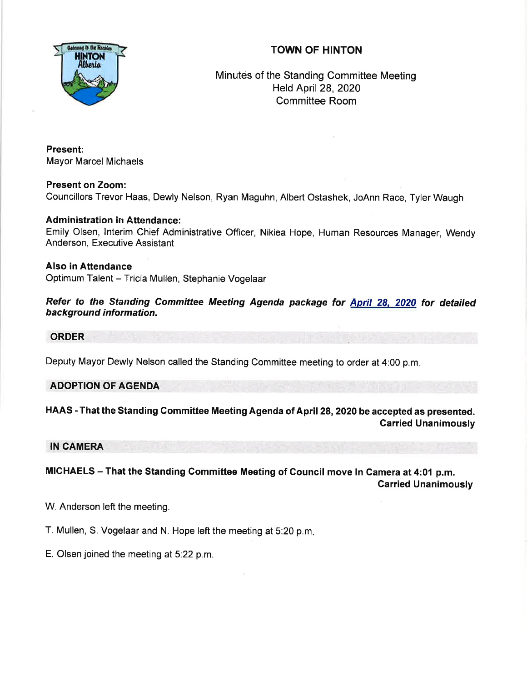## TOWN OF HINTON



Minutes of the Standing Committee Meeting Held April 28,2020 Committee Room

Present: Mayor Marcel Michaels

Present on Zoom: Councillors Trevor Haas, Dewly Nelson, Ryan Maguhn, Albert Ostashek, JoAnn Race, Tyler Waugh

## Administration in Attendance:

Emily Olsen, Interim Chief Administrative Officer, Nikiea Hope, Human Resources Manager, Wendy Anderson, Executive Assistant

Also in Attendance Optimum Talent - Tricia Mullen, Stephanie Vogelaar

Refer to the Standing Committee Meeting Agenda package for April 28, 2020 for detailed background information.

## ORDER

Deputy Mayor Dewly Nelson called the Standing Committee meeting to order at 4:00 p.m

## ADOPTION OF AGENDA

HAAS - That the Standing Committee Meeting Agenda of April 28, 2020 be accepted as presented. Carried Unanimously

IN CAMERA

MICHAELS - That the Standing Gommittee Meeting of Gouncil move In Gamera at 4:01 p.m. Garried Unanimously

W. Anderson left the meeting.

T. Mullen, S. Vogelaar and N. Hope left the meeting at 5:20 p.m

E. Olsen joined the meeting at 5.22 p.m.